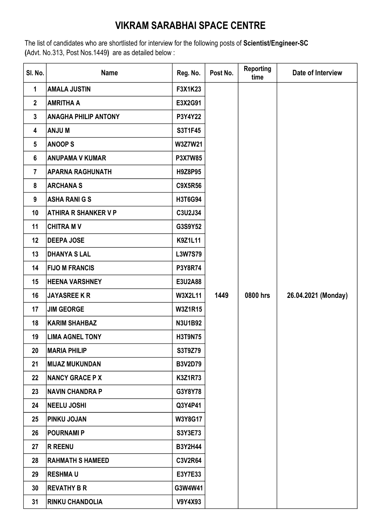## VIKRAM SARABHAI SPACE CENTRE

The list of candidates who are shortlisted for interview for the following posts of Scientist/Engineer-SC (Advt. No.313, Post Nos.1449) are as detailed below :

| SI. No.         | <b>Name</b>                 | Reg. No.       | Post No. | <b>Reporting</b><br>time | Date of Interview   |
|-----------------|-----------------------------|----------------|----------|--------------------------|---------------------|
| 1               | <b>AMALA JUSTIN</b>         | F3X1K23        |          |                          |                     |
| $\mathbf{2}$    | <b>AMRITHA A</b>            | E3X2G91        |          |                          |                     |
| $\mathbf{3}$    | <b>ANAGHA PHILIP ANTONY</b> | P3Y4Y22        |          |                          |                     |
| 4               | <b>MUNA</b>                 | S3T1F45        |          |                          |                     |
| $5\phantom{.0}$ | <b>ANOOPS</b>               | W3Z7W21        |          |                          |                     |
| $6\phantom{a}$  | <b>ANUPAMA V KUMAR</b>      | <b>P3X7W85</b> |          |                          |                     |
| $\overline{7}$  | <b>APARNA RAGHUNATH</b>     | H9Z8P95        |          |                          |                     |
| 8               | <b>ARCHANAS</b>             | <b>C9X5R56</b> |          |                          |                     |
| 9               | <b>ASHA RANI G S</b>        | H3T6G94        |          |                          |                     |
| 10              | <b>ATHIRA R SHANKER V P</b> | C3U2J34        |          |                          |                     |
| 11              | <b>CHITRA MV</b>            | G3S9Y52        |          |                          |                     |
| 12              | <b>DEEPA JOSE</b>           | <b>K9Z1L11</b> |          |                          |                     |
| 13              | <b>DHANYA S LAL</b>         | L3W7S79        |          |                          |                     |
| 14              | <b>FIJO M FRANCIS</b>       | P3Y8R74        |          |                          |                     |
| 15              | <b>HEENA VARSHNEY</b>       | E3U2A88        |          |                          |                     |
| 16              | <b>JAYASREE K R</b>         | <b>W3X2L11</b> | 1449     | 0800 hrs                 | 26.04.2021 (Monday) |
| 17              | <b>JIM GEORGE</b>           | <b>W3Z1R15</b> |          |                          |                     |
| 18              | <b>KARIM SHAHBAZ</b>        | <b>N3U1B92</b> |          |                          |                     |
| 19              | <b>LIMA AGNEL TONY</b>      | <b>H3T9N75</b> |          |                          |                     |
| 20              | <b>MARIA PHILIP</b>         | S3T9Z79        |          |                          |                     |
| 21              | MIJAZ MUKUNDAN              | <b>B3V2D79</b> |          |                          |                     |
| 22              | <b>NANCY GRACE P X</b>      | <b>K3Z1R73</b> |          |                          |                     |
| 23              | <b>NAVIN CHANDRA P</b>      | G3Y8Y78        |          |                          |                     |
| 24              | <b>NEELU JOSHI</b>          | Q3Y4P41        |          |                          |                     |
| 25              | <b>PINKU JOJAN</b>          | W3Y8G17        |          |                          |                     |
| 26              | <b>POURNAMI P</b>           | S3Y3E73        |          |                          |                     |
| 27              | <b>R REENU</b>              | <b>B3Y2H44</b> |          |                          |                     |
| 28              | <b>RAHMATH S HAMEED</b>     | <b>C3V2R64</b> |          |                          |                     |
| 29              | <b>RESHMAU</b>              | E3Y7E33        |          |                          |                     |
| 30              | <b>REVATHY B R</b>          | G3W4W41        |          |                          |                     |
| 31              | <b>RINKU CHANDOLIA</b>      | <b>V9Y4X93</b> |          |                          |                     |